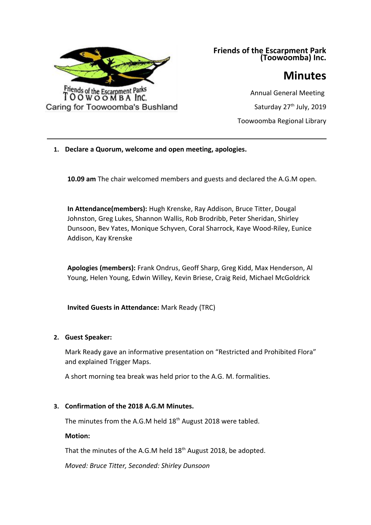

**Friends of the Escarpment Park (Toowoomba) Inc.**

# **Minutes**

Annual General Meeting Saturday 27<sup>th</sup> July, 2019 Toowoomba Regional Library

**1. Declare a Quorum, welcome and open meeting, apologies.**

**10.09 am** The chair welcomed members and guests and declared the A.G.M open.

uirghwiurghiushiuhfiuhefuhiuefhaiuefhieufheufhieufhaiuefhaiuefhiuefhiaufhaeiufhaeiufhau

**In Attendance(members):** Hugh Krenske, Ray Addison, Bruce Titter, Dougal Johnston, Greg Lukes, Shannon Wallis, Rob Brodribb, Peter Sheridan, Shirley Dunsoon, Bev Yates, Monique Schyven, Coral Sharrock, Kaye Wood-Riley, Eunice Addison, Kay Krenske

**Apologies (members):** Frank Ondrus, Geoff Sharp, Greg Kidd, Max Henderson, Al Young, Helen Young, Edwin Willey, Kevin Briese, Craig Reid, Michael McGoldrick

**Invited Guests in Attendance:** Mark Ready (TRC)

## **2. Guest Speaker:**

Mark Ready gave an informative presentation on "Restricted and Prohibited Flora" and explained Trigger Maps.

A short morning tea break was held prior to the A.G. M. formalities.

# **3. Confirmation of the 2018 A.G.M Minutes.**

The minutes from the A.G.M held 18<sup>th</sup> August 2018 were tabled.

## **Motion:**

That the minutes of the A.G.M held 18<sup>th</sup> August 2018, be adopted.

*Moved: Bruce Titter, Seconded: Shirley Dunsoon*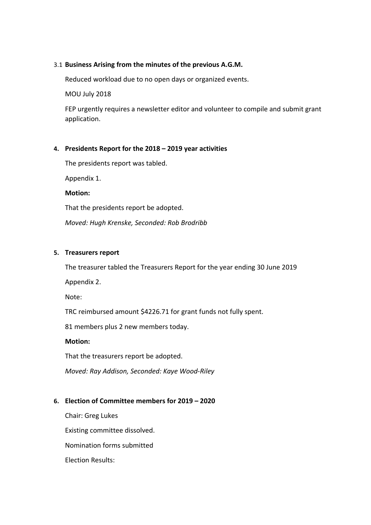#### 3.1 **Business Arising from the minutes of the previous A.G.M.**

Reduced workload due to no open days or organized events.

MOU July 2018

FEP urgently requires a newsletter editor and volunteer to compile and submit grant application.

#### **4. Presidents Report for the 2018 – 2019 year activities**

The presidents report was tabled.

Appendix 1.

**Motion:**

That the presidents report be adopted.

*Moved: Hugh Krenske, Seconded: Rob Brodribb*

#### **5. Treasurers report**

The treasurer tabled the Treasurers Report for the year ending 30 June 2019

Appendix 2.

Note:

TRC reimbursed amount \$4226.71 for grant funds not fully spent.

81 members plus 2 new members today.

**Motion:**

That the treasurers report be adopted.

*Moved: Ray Addison, Seconded: Kaye Wood-Riley*

#### **6. Election of Committee members for 2019 – 2020**

Chair: Greg Lukes Existing committee dissolved. Nomination forms submitted Election Results: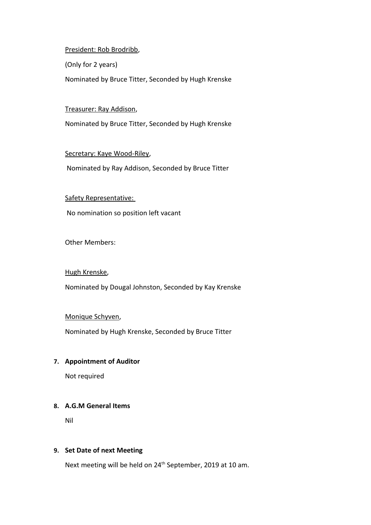#### President: Rob Brodribb,

(Only for 2 years)

Nominated by Bruce Titter, Seconded by Hugh Krenske

#### Treasurer: Ray Addison,

Nominated by Bruce Titter, Seconded by Hugh Krenske

## Secretary: Kaye Wood-Riley,

Nominated by Ray Addison, Seconded by Bruce Titter

#### Safety Representative:

No nomination so position left vacant

Other Members:

## Hugh Krenske,

Nominated by Dougal Johnston, Seconded by Kay Krenske

## Monique Schyven,

Nominated by Hugh Krenske, Seconded by Bruce Titter

## **7. Appointment of Auditor**

Not required

# **8. A.G.M General Items**

Nil

## **9. Set Date of next Meeting**

Next meeting will be held on 24<sup>th</sup> September, 2019 at 10 am.